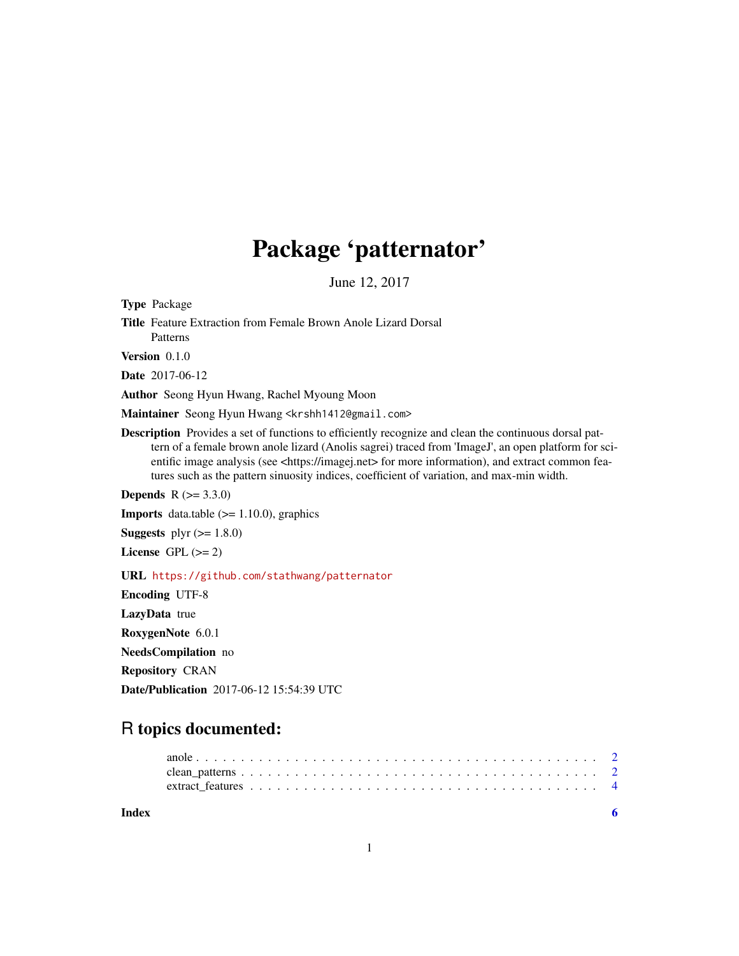# Package 'patternator'

June 12, 2017

Type Package

Title Feature Extraction from Female Brown Anole Lizard Dorsal Patterns

Version 0.1.0

Date 2017-06-12

Author Seong Hyun Hwang, Rachel Myoung Moon

Maintainer Seong Hyun Hwang <krshh1412@gmail.com>

Description Provides a set of functions to efficiently recognize and clean the continuous dorsal pattern of a female brown anole lizard (Anolis sagrei) traced from 'ImageJ', an open platform for scientific image analysis (see <https://imagej.net> for more information), and extract common features such as the pattern sinuosity indices, coefficient of variation, and max-min width.

**Depends**  $R (= 3.3.0)$ 

**Imports** data.table  $(>= 1.10.0)$ , graphics

**Suggests** plyr  $(>= 1.8.0)$ 

License GPL  $(>= 2)$ 

#### URL <https://github.com/stathwang/patternator>

Encoding UTF-8 LazyData true RoxygenNote 6.0.1 NeedsCompilation no Repository CRAN Date/Publication 2017-06-12 15:54:39 UTC

## R topics documented:

| Index |  |  |  |  |  |  |  |  |  |  |  |  |  |  |  |  |
|-------|--|--|--|--|--|--|--|--|--|--|--|--|--|--|--|--|
|       |  |  |  |  |  |  |  |  |  |  |  |  |  |  |  |  |
|       |  |  |  |  |  |  |  |  |  |  |  |  |  |  |  |  |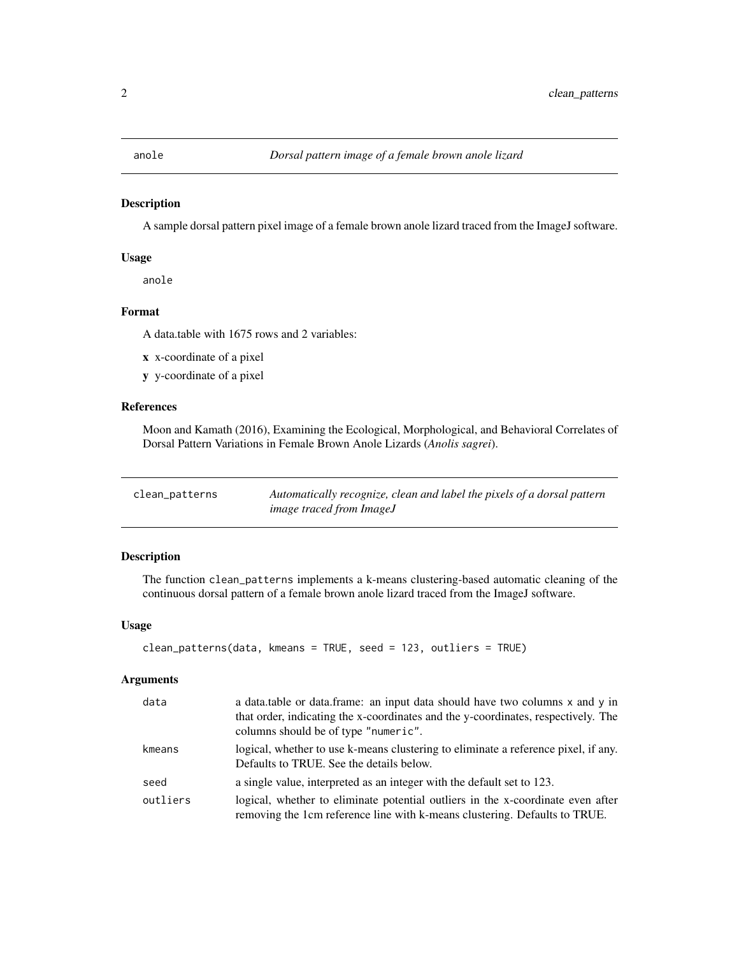#### <span id="page-1-0"></span>Description

A sample dorsal pattern pixel image of a female brown anole lizard traced from the ImageJ software.

#### Usage

anole

### Format

A data.table with 1675 rows and 2 variables:

- x x-coordinate of a pixel
- y y-coordinate of a pixel

#### References

Moon and Kamath (2016), Examining the Ecological, Morphological, and Behavioral Correlates of Dorsal Pattern Variations in Female Brown Anole Lizards (*Anolis sagrei*).

| clean_patterns | Automatically recognize, clean and label the pixels of a dorsal pattern |
|----------------|-------------------------------------------------------------------------|
|                | <i>image traced from ImageJ</i>                                         |

#### Description

The function clean\_patterns implements a k-means clustering-based automatic cleaning of the continuous dorsal pattern of a female brown anole lizard traced from the ImageJ software.

#### Usage

```
clean_patterns(data, kmeans = TRUE, seed = 123, outliers = TRUE)
```
#### Arguments

| data     | a data.table or data.frame: an input data should have two columns x and y in<br>that order, indicating the x-coordinates and the y-coordinates, respectively. The<br>columns should be of type "numeric". |
|----------|-----------------------------------------------------------------------------------------------------------------------------------------------------------------------------------------------------------|
| kmeans   | logical, whether to use k-means clustering to eliminate a reference pixel, if any.<br>Defaults to TRUE. See the details below.                                                                            |
| seed     | a single value, interpreted as an integer with the default set to 123.                                                                                                                                    |
| outliers | logical, whether to eliminate potential outliers in the x-coordinate even after<br>removing the 1cm reference line with k-means clustering. Defaults to TRUE.                                             |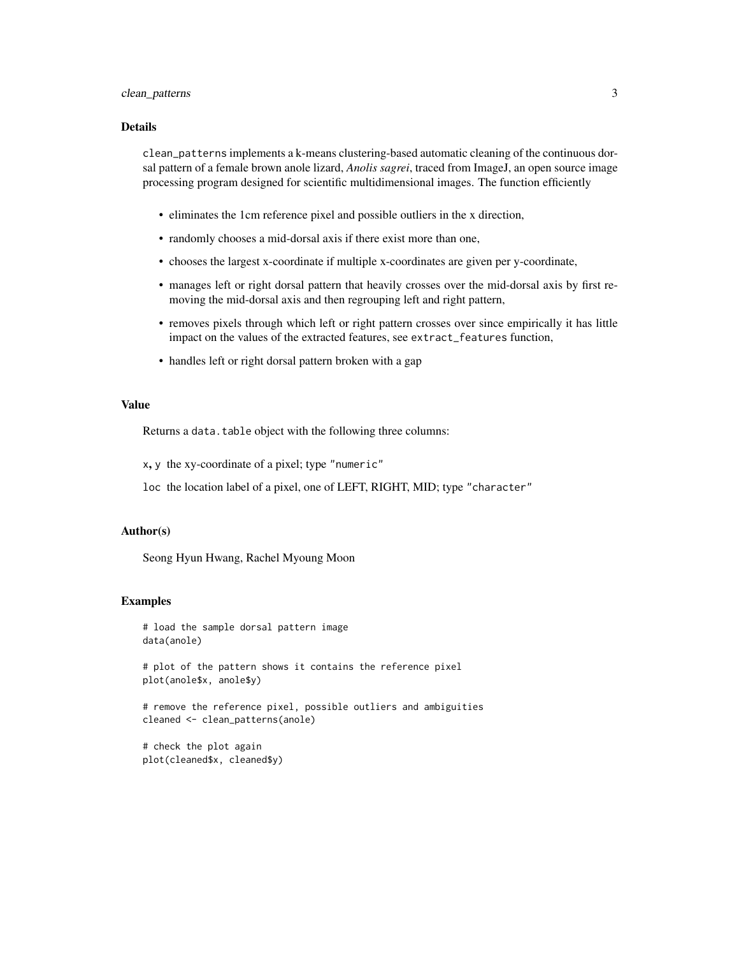### clean\_patterns 3

#### Details

clean\_patterns implements a k-means clustering-based automatic cleaning of the continuous dorsal pattern of a female brown anole lizard, *Anolis sagrei*, traced from ImageJ, an open source image processing program designed for scientific multidimensional images. The function efficiently

- eliminates the 1cm reference pixel and possible outliers in the x direction,
- randomly chooses a mid-dorsal axis if there exist more than one,
- chooses the largest x-coordinate if multiple x-coordinates are given per y-coordinate,
- manages left or right dorsal pattern that heavily crosses over the mid-dorsal axis by first removing the mid-dorsal axis and then regrouping left and right pattern,
- removes pixels through which left or right pattern crosses over since empirically it has little impact on the values of the extracted features, see extract\_features function,
- handles left or right dorsal pattern broken with a gap

#### Value

Returns a data.table object with the following three columns:

x, y the xy-coordinate of a pixel; type "numeric"

loc the location label of a pixel, one of LEFT, RIGHT, MID; type "character"

#### Author(s)

Seong Hyun Hwang, Rachel Myoung Moon

#### Examples

```
# load the sample dorsal pattern image
data(anole)
```
# plot of the pattern shows it contains the reference pixel plot(anole\$x, anole\$y)

```
# remove the reference pixel, possible outliers and ambiguities
cleaned <- clean_patterns(anole)
```
# check the plot again plot(cleaned\$x, cleaned\$y)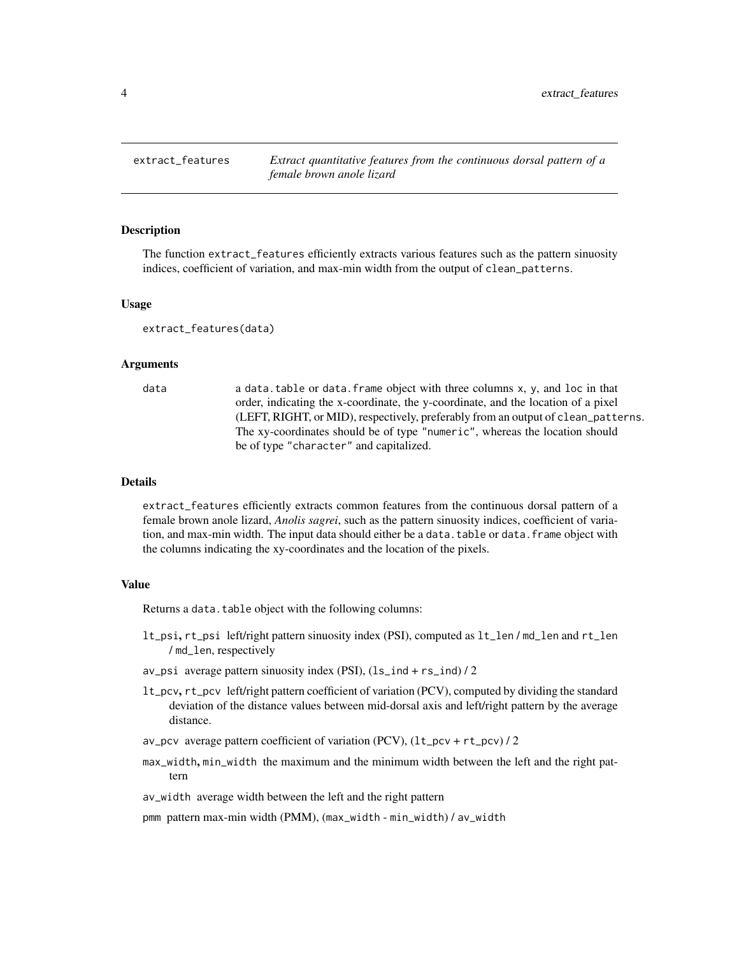<span id="page-3-0"></span>extract\_features *Extract quantitative features from the continuous dorsal pattern of a female brown anole lizard*

#### Description

The function extract\_features efficiently extracts various features such as the pattern sinuosity indices, coefficient of variation, and max-min width from the output of clean\_patterns.

#### Usage

extract\_features(data)

#### Arguments

data a data.table or data.frame object with three columns x, y, and loc in that order, indicating the x-coordinate, the y-coordinate, and the location of a pixel (LEFT, RIGHT, or MID), respectively, preferably from an output of clean\_patterns. The xy-coordinates should be of type "numeric", whereas the location should be of type "character" and capitalized.

#### Details

extract\_features efficiently extracts common features from the continuous dorsal pattern of a female brown anole lizard, *Anolis sagrei*, such as the pattern sinuosity indices, coefficient of variation, and max-min width. The input data should either be a data.table or data.frame object with the columns indicating the xy-coordinates and the location of the pixels.

#### Value

Returns a data.table object with the following columns:

- lt\_psi, rt\_psi left/right pattern sinuosity index (PSI), computed as lt\_len / md\_len and rt\_len / md\_len, respectively
- av\_psi average pattern sinuosity index (PSI), (ls\_ind + rs\_ind) / 2
- lt\_pcv, rt\_pcv left/right pattern coefficient of variation (PCV), computed by dividing the standard deviation of the distance values between mid-dorsal axis and left/right pattern by the average distance.
- av\_pcv average pattern coefficient of variation  $(PCV)$ ,  $(lt_{pcv} + rt_{pcv})/2$
- max\_width, min\_width the maximum and the minimum width between the left and the right pattern
- av\_width average width between the left and the right pattern

pmm pattern max-min width (PMM), (max\_width - min\_width) / av\_width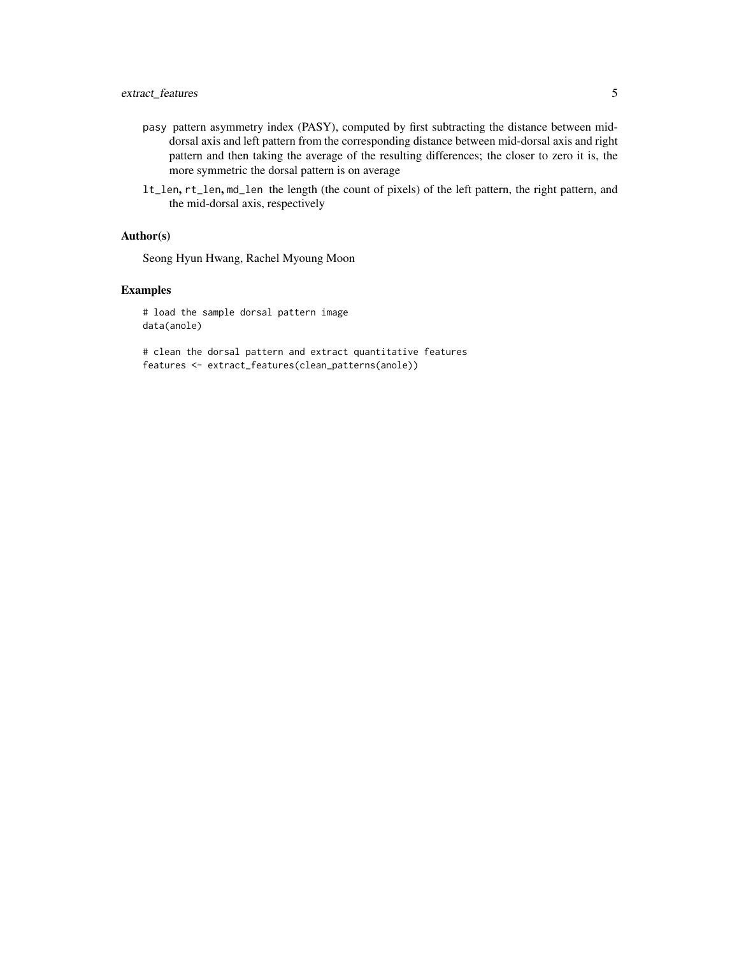- pasy pattern asymmetry index (PASY), computed by first subtracting the distance between middorsal axis and left pattern from the corresponding distance between mid-dorsal axis and right pattern and then taking the average of the resulting differences; the closer to zero it is, the more symmetric the dorsal pattern is on average
- lt\_len, rt\_len, md\_len the length (the count of pixels) of the left pattern, the right pattern, and the mid-dorsal axis, respectively

#### Author(s)

Seong Hyun Hwang, Rachel Myoung Moon

#### Examples

# load the sample dorsal pattern image data(anole)

# clean the dorsal pattern and extract quantitative features features <- extract\_features(clean\_patterns(anole))